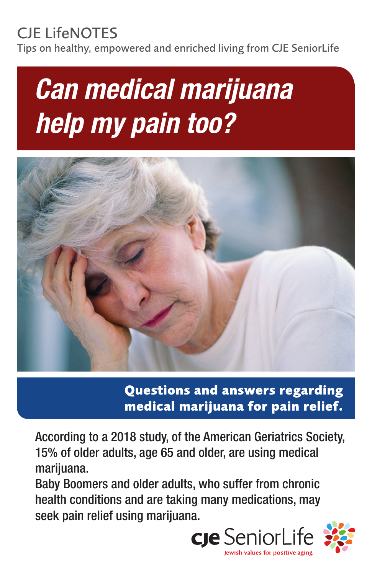## CJE LifeNOTES

Tips on healthy, empowered and enriched living from CJE SeniorLife

# *Can medical marijuana help my pain too?*



**Questions and answers regarding medical marijuana for pain relief.**

According to a 2018 study, of the American Geriatrics Society, 15% of older adults, age 65 and older, are using medical marijuana.

Baby Boomers and older adults, who suffer from chronic health conditions and are taking many medications, may seek pain relief using marijuana.

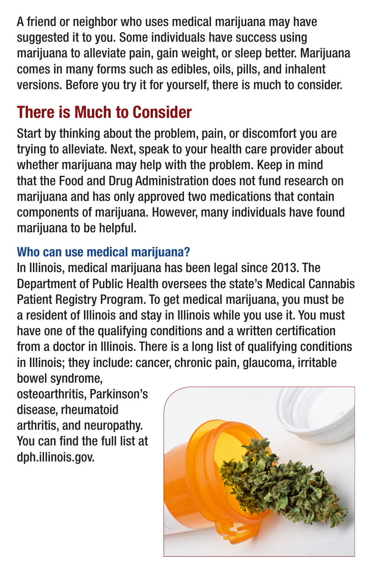A friend or neighbor who uses medical marijuana may have suggested it to you. Some individuals have success using marijuana to alleviate pain, gain weight, or sleep better. Marijuana comes in many forms such as edibles, oils, pills, and inhalent versions. Before you try it for yourself, there is much to consider.

## There is Much to Consider

Start by thinking about the problem, pain, or discomfort you are trying to alleviate. Next, speak to your health care provider about whether marijuana may help with the problem. Keep in mind that the Food and Drug Administration does not fund research on marijuana and has only approved two medications that contain components of marijuana. However, many individuals have found marijuana to be helpful.

#### Who can use medical marijuana?

In Illinois, medical marijuana has been legal since 2013. The Department of Public Health oversees the state's Medical Cannabis Patient Registry Program. To get medical marijuana, you must be a resident of Illinois and stay in Illinois while you use it. You must have one of the qualifying conditions and a written certification from a doctor in Illinois. There is a long list of qualifying conditions in Illinois; they include: cancer, chronic pain, glaucoma, irritable bowel syndrome,

osteoarthritis, Parkinson's disease, rheumatoid arthritis, and neuropathy. You can find the full list at dph.illinois.gov.

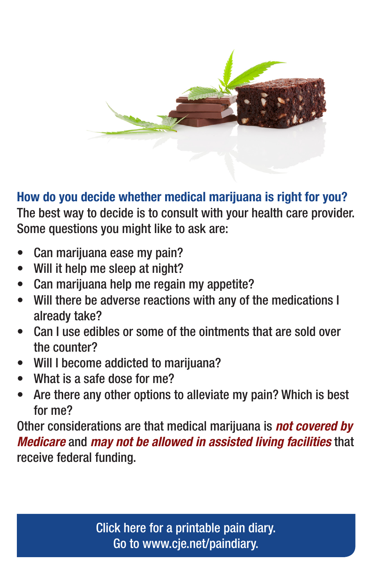

How do you decide whether medical marijuana is right for you? The best way to decide is to consult with your health care provider. Some questions you might like to ask are:

- Can marijuana ease my pain?
- Will it help me sleep at night?
- Can marijuana help me regain my appetite?
- Will there be adverse reactions with any of the medications I already take?
- Can I use edibles or some of the ointments that are sold over the counter?
- Will I become addicted to marijuana?
- What is a safe dose for me?
- Are there any other options to alleviate my pain? Which is best for me?

Other considerations are that medical marijuana is *not covered by Medicare* and *may not be allowed in assisted living facilities* that receive federal funding.